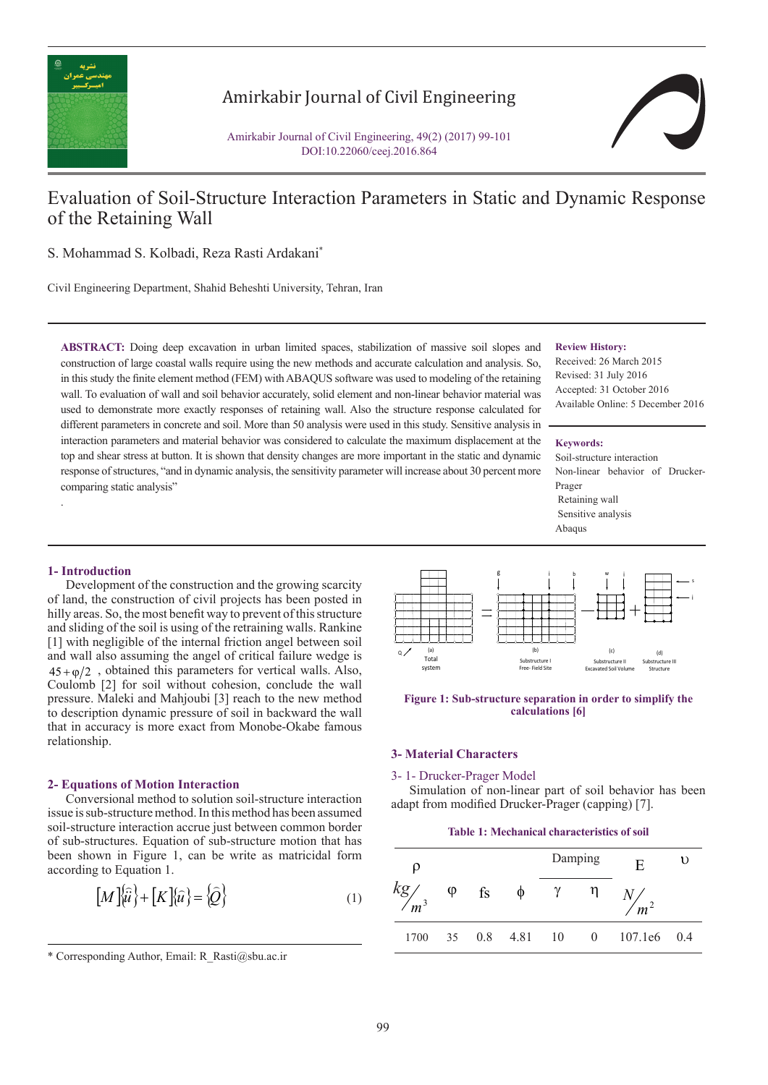

# Amirkabir Journal of Civil Engineering

Amirkabir Journal of Civil Engineering, 49(2) (2017) 99-101 DOI:10.22060/ceej.2016.864



# Evaluation of Soil-Structure Interaction Parameters in Static and Dynamic Response of the Retaining Wall

S. Mohammad S. Kolbadi, Reza Rasti Ardakani\*

Civil Engineering Department, Shahid Beheshti University, Tehran, Iran

**ABSTRACT:** Doing deep excavation in urban limited spaces, stabilization of massive soil slopes and construction of large coastal walls require using the new methods and accurate calculation and analysis. So, in this study the finite element method (FEM) with ABAQUS software was used to modeling of the retaining wall. To evaluation of wall and soil behavior accurately, solid element and non-linear behavior material was used to demonstrate more exactly responses of retaining wall. Also the structure response calculated for different parameters in concrete and soil. More than 50 analysis were used in this study. Sensitive analysis in interaction parameters and material behavior was considered to calculate the maximum displacement at the top and shear stress at button. It is shown that density changes are more important in the static and dynamic response of structures, "and in dynamic analysis, the sensitivity parameter will increase about 30 percent more comparing static analysis"

#### **Review History:**

Received: 26 March 2015 Revised: 31 July 2016 Accepted: 31 October 2016 Available Online: 5 December 2016

#### **Keywords:**

Soil-structure interaction Non-linear behavior of Drucker-Prager Retaining wall Sensitive analysis Abaqus

## **1- Introduction**

.

Development of the construction and the growing scarcity of land, the construction of civil projects has been posted in hilly areas. So, the most benefit way to prevent of this structure and sliding of the soil is using of the retraining walls. Rankine [1] with negligible of the internal friction angel between soil and wall also assuming the angel of critical failure wedge is  $45 + \varphi/2$ , obtained this parameters for vertical walls. Also, Coulomb [2] for soil without cohesion, conclude the wall pressure. Maleki and Mahjoubi [3] reach to the new method to description dynamic pressure of soil in backward the wall that in accuracy is more exact from Monobe-Okabe famous relationship.

#### **2- Equations of Motion Interaction**

Conversional method to solution soil-structure interaction issue is sub-structure method. In this method has been assumed soil-structure interaction accrue just between common border of sub-structures. Equation of sub-structure motion that has been shown in Figure 1, can be write as matricidal form according to Equation 1.

$$
\left[M\right]\!\left\{\!\hat{u}\right\}+\left[K\right]\!\left\{\!\hat{u}\right\}=\left\{\!\hat{Q}\right\}\right\}\tag{1}
$$



**Figure 1: Sub-structure separation in order to simplify the calculations [6]** 

# **3- Material Characters**

#### 3- 1- Drucker-Prager Model

Simulation of non-linear part of soil behavior has been adapt from modified Drucker-Prager (capping) [7].

#### **Table 1: Mechanical characteristics of soil**

| ρ                | Damping   |             |   |               |          | E               | υ |
|------------------|-----------|-------------|---|---------------|----------|-----------------|---|
| $\frac{kg}{m^3}$ | $\varphi$ | fs          | φ |               |          | $\frac{N}{m^2}$ |   |
| 1700             |           | 35 0.8 4.81 |   | <sup>10</sup> | $\Omega$ | $107.1e6$ 0.4   |   |

<sup>\*</sup> Corresponding Author, Email: R\_Rasti@sbu.ac.ir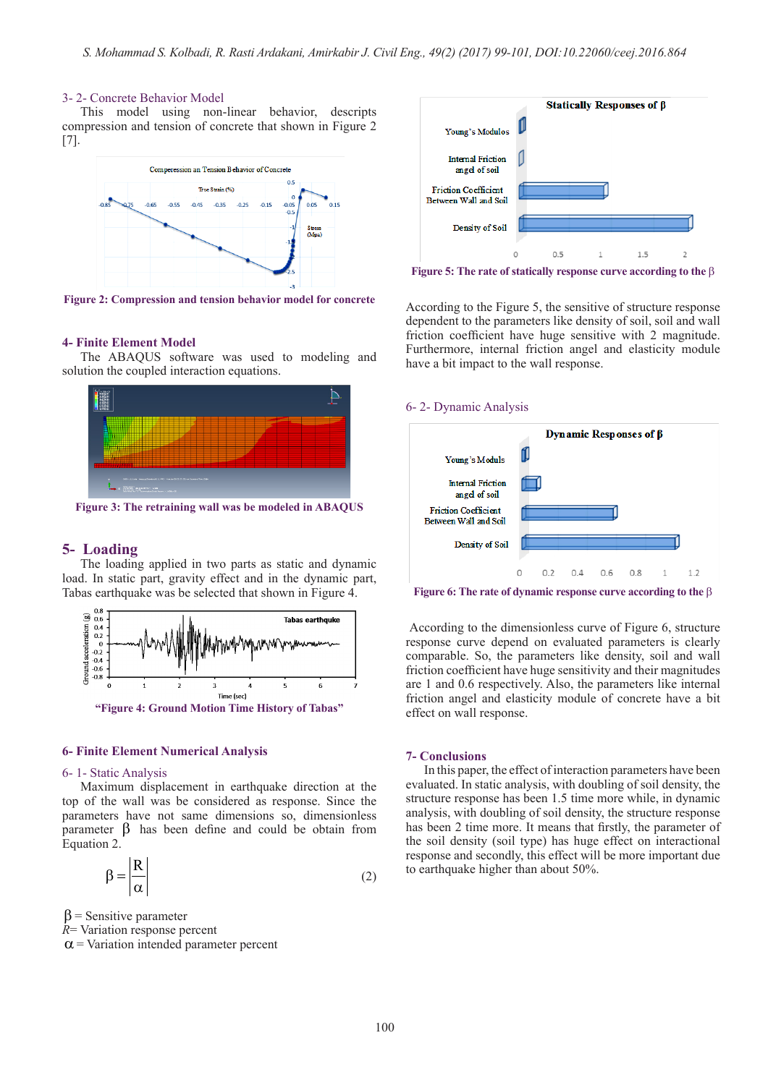#### 3- 2- Concrete Behavior Model

This model using non-linear behavior, descripts compression and tension of concrete that shown in Figure 2 [7].



**Figure 2: Compression and tension behavior model for concrete** 

#### **4- Finite Element Model**

The ABAQUS software was used to modeling and solution the coupled interaction equations.



**Figure 3: The retraining wall was be modeled in ABAQUS**

# **5- Loading**

The loading applied in two parts as static and dynamic load. In static part, gravity effect and in the dynamic part, Tabas earthquake was be selected that shown in Figure 4.



#### **6- Finite Element Numerical Analysis**

#### 6- 1- Static Analysis

Maximum displacement in earthquake direction at the top of the wall was be considered as response. Since the parameters have not same dimensions so, dimensionless parameter β has been define and could be obtain from Equation 2.

$$
\beta = \frac{R}{\alpha} \tag{2}
$$

 $\beta$  = Sensitive parameter

*R*= Variation response percent

 $\alpha$  = Variation intended parameter percent



**Figure 5: The rate of statically response curve according to the** β

According to the Figure 5, the sensitive of structure response dependent to the parameters like density of soil, soil and wall friction coefficient have huge sensitive with 2 magnitude. Furthermore, internal friction angel and elasticity module have a bit impact to the wall response.

### 6- 2- Dynamic Analysis



**Figure 6: The rate of dynamic response curve according to the** β

According to the dimensionless curve of Figure 6, structure response curve depend on evaluated parameters is clearly comparable. So, the parameters like density, soil and wall friction coefficient have huge sensitivity and their magnitudes are 1 and 0.6 respectively. Also, the parameters like internal friction angel and elasticity module of concrete have a bit effect on wall response.

#### **7- Conclusions**

In this paper, the effect of interaction parameters have been evaluated. In static analysis, with doubling of soil density, the structure response has been 1.5 time more while, in dynamic analysis, with doubling of soil density, the structure response has been 2 time more. It means that firstly, the parameter of the soil density (soil type) has huge effect on interactional response and secondly, this effect will be more important due to earthquake higher than about 50%.